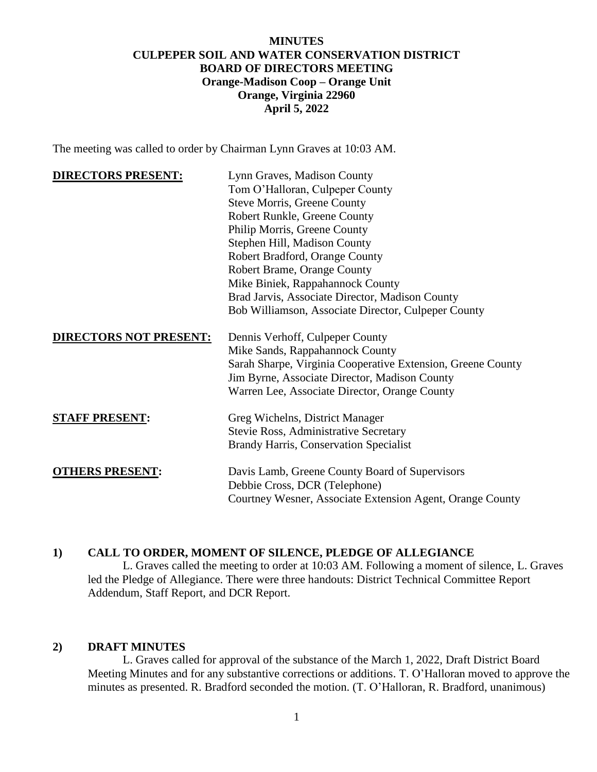# **MINUTES CULPEPER SOIL AND WATER CONSERVATION DISTRICT BOARD OF DIRECTORS MEETING Orange-Madison Coop – Orange Unit Orange, Virginia 22960 April 5, 2022**

The meeting was called to order by Chairman Lynn Graves at 10:03 AM.

| <b>DIRECTORS PRESENT:</b>     | Lynn Graves, Madison County                                 |
|-------------------------------|-------------------------------------------------------------|
|                               | Tom O'Halloran, Culpeper County                             |
|                               | <b>Steve Morris, Greene County</b>                          |
|                               | Robert Runkle, Greene County                                |
|                               | Philip Morris, Greene County                                |
|                               | Stephen Hill, Madison County                                |
|                               | Robert Bradford, Orange County                              |
|                               | Robert Brame, Orange County                                 |
|                               | Mike Biniek, Rappahannock County                            |
|                               | Brad Jarvis, Associate Director, Madison County             |
|                               | Bob Williamson, Associate Director, Culpeper County         |
| <b>DIRECTORS NOT PRESENT:</b> | Dennis Verhoff, Culpeper County                             |
|                               | Mike Sands, Rappahannock County                             |
|                               | Sarah Sharpe, Virginia Cooperative Extension, Greene County |
|                               | Jim Byrne, Associate Director, Madison County               |
|                               | Warren Lee, Associate Director, Orange County               |
| <b>STAFF PRESENT:</b>         | Greg Wichelns, District Manager                             |
|                               | <b>Stevie Ross, Administrative Secretary</b>                |
|                               | <b>Brandy Harris, Conservation Specialist</b>               |
| <b>OTHERS PRESENT:</b>        | Davis Lamb, Greene County Board of Supervisors              |
|                               | Debbie Cross, DCR (Telephone)                               |
|                               | Courtney Wesner, Associate Extension Agent, Orange County   |

## **1) CALL TO ORDER, MOMENT OF SILENCE, PLEDGE OF ALLEGIANCE**

L. Graves called the meeting to order at 10:03 AM. Following a moment of silence, L. Graves led the Pledge of Allegiance. There were three handouts: District Technical Committee Report Addendum, Staff Report, and DCR Report.

#### **2) DRAFT MINUTES**

L. Graves called for approval of the substance of the March 1, 2022, Draft District Board Meeting Minutes and for any substantive corrections or additions. T. O'Halloran moved to approve the minutes as presented. R. Bradford seconded the motion. (T. O'Halloran, R. Bradford, unanimous)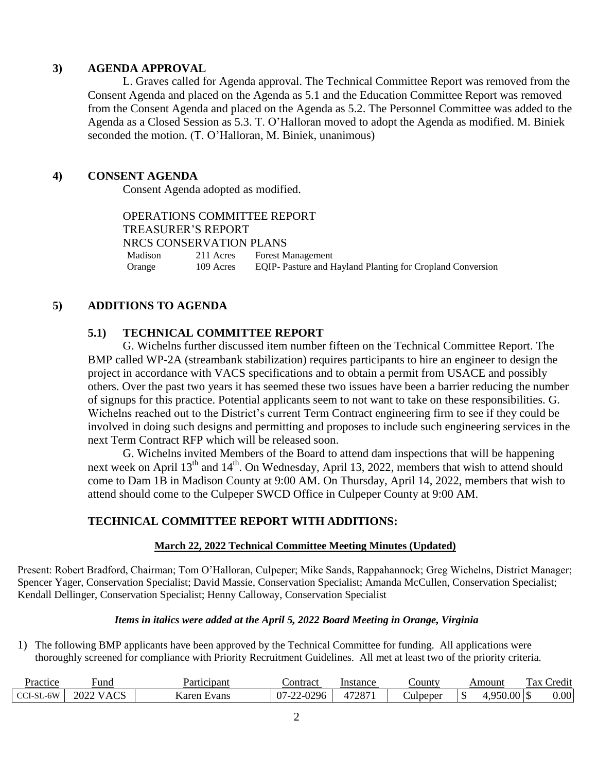## **3) AGENDA APPROVAL**

L. Graves called for Agenda approval. The Technical Committee Report was removed from the Consent Agenda and placed on the Agenda as 5.1 and the Education Committee Report was removed from the Consent Agenda and placed on the Agenda as 5.2. The Personnel Committee was added to the Agenda as a Closed Session as 5.3. T. O'Halloran moved to adopt the Agenda as modified. M. Biniek seconded the motion. (T. O'Halloran, M. Biniek, unanimous)

# **4) CONSENT AGENDA**

Consent Agenda adopted as modified.

OPERATIONS COMMITTEE REPORT TREASURER'S REPORT NRCS CONSERVATION PLANS Madison 211 Acres Forest Management Orange 109 Acres EQIP- Pasture and Hayland Planting for Cropland Conversion

# **5) ADDITIONS TO AGENDA**

# **5.1) TECHNICAL COMMITTEE REPORT**

G. Wichelns further discussed item number fifteen on the Technical Committee Report. The BMP called WP-2A (streambank stabilization) requires participants to hire an engineer to design the project in accordance with VACS specifications and to obtain a permit from USACE and possibly others. Over the past two years it has seemed these two issues have been a barrier reducing the number of signups for this practice. Potential applicants seem to not want to take on these responsibilities. G. Wichelns reached out to the District's current Term Contract engineering firm to see if they could be involved in doing such designs and permitting and proposes to include such engineering services in the next Term Contract RFP which will be released soon.

G. Wichelns invited Members of the Board to attend dam inspections that will be happening next week on April 13<sup>th</sup> and 14<sup>th</sup>. On Wednesday, April 13, 2022, members that wish to attend should come to Dam 1B in Madison County at 9:00 AM. On Thursday, April 14, 2022, members that wish to attend should come to the Culpeper SWCD Office in Culpeper County at 9:00 AM.

## **TECHNICAL COMMITTEE REPORT WITH ADDITIONS:**

#### **March 22, 2022 Technical Committee Meeting Minutes (Updated)**

Present: Robert Bradford, Chairman; Tom O'Halloran, Culpeper; Mike Sands, Rappahannock; Greg Wichelns, District Manager; Spencer Yager, Conservation Specialist; David Massie, Conservation Specialist; Amanda McCullen, Conservation Specialist; Kendall Dellinger, Conservation Specialist; Henny Calloway, Conservation Specialist

#### *Items in italics were added at the April 5, 2022 Board Meeting in Orange, Virginia*

1) The following BMP applicants have been approved by the Technical Committee for funding. All applications were thoroughly screened for compliance with Priority Recruitment Guidelines. All met at least two of the priority criteria.

| Practice               | und <sup>'</sup>                                                                  | Participant    | <b>⊃ontract</b>                    | Instance | ountv_          | Amount                            | m<br>$\cdot$<br>rax<br>redit |
|------------------------|-----------------------------------------------------------------------------------|----------------|------------------------------------|----------|-----------------|-----------------------------------|------------------------------|
| $-6W$<br><b>CCI-SL</b> | $\cap$<br>$\mathbf{v}$<br>2022<br>$\mathbf{v}$<br>$\Delta$<br>ᄾ<br>. . <i>. .</i> | Karer<br>Evans | 2-0296<br>$07 - 1$<br>$\sim$<br>-- | 17007    | <b>Culpeper</b> | $\sim$ 0.0 $\mu$<br>950<br>, Julu | 0.00                         |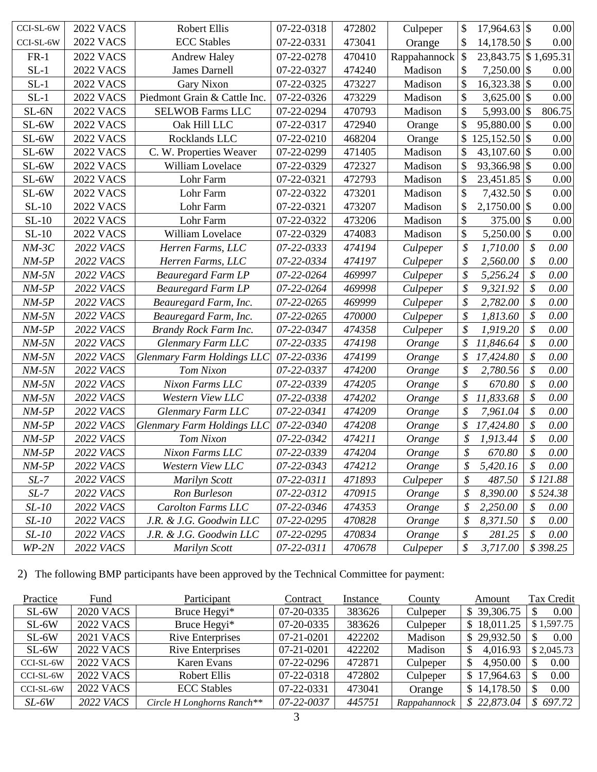| CCI-SL-6W    | <b>2022 VACS</b> | Robert Ellis                      | 07-22-0318 | 472802 | Culpeper     | \$            | 17,964.63 \$         | 0.00           |
|--------------|------------------|-----------------------------------|------------|--------|--------------|---------------|----------------------|----------------|
| CCI-SL-6W    | <b>2022 VACS</b> | <b>ECC</b> Stables                | 07-22-0331 | 473041 | Orange       | \$            | $14,178.50$ \$       | 0.00           |
| $FR-1$       | <b>2022 VACS</b> | <b>Andrew Haley</b>               | 07-22-0278 | 470410 | Rappahannock | \$            | 23,843.75 \$1,695.31 |                |
| $SL-1$       | <b>2022 VACS</b> | <b>James Darnell</b>              | 07-22-0327 | 474240 | Madison      | $\mathcal{S}$ | $7,250.00$ \\$       | 0.00           |
| $SL-1$       | <b>2022 VACS</b> | Gary Nixon                        | 07-22-0325 | 473227 | Madison      | $\mathcal{S}$ | 16,323.38 \$         | 0.00           |
| $SL-1$       | <b>2022 VACS</b> | Piedmont Grain & Cattle Inc.      | 07-22-0326 | 473229 | Madison      | \$            | $3,625.00$ \\$       | 0.00           |
| $SL-6N$      | <b>2022 VACS</b> | <b>SELWOB Farms LLC</b>           | 07-22-0294 | 470793 | Madison      | $\mathcal{S}$ | 5,993.00 \$          | 806.75         |
| SL-6W        | <b>2022 VACS</b> | Oak Hill LLC                      | 07-22-0317 | 472940 | Orange       | \$            | 95,880.00 \$         | 0.00           |
| SL-6W        | <b>2022 VACS</b> | Rocklands LLC                     | 07-22-0210 | 468204 | Orange       | \$            | $125,152.50$ \$      | $0.00\,$       |
| SL-6W        | <b>2022 VACS</b> | C. W. Properties Weaver           | 07-22-0299 | 471405 | Madison      | \$            | 43,107.60 $\vert \$  | 0.00           |
| SL-6W        | <b>2022 VACS</b> | William Lovelace                  | 07-22-0329 | 472327 | Madison      | $\mathcal{S}$ | 93,366.98 \$         | 0.00           |
| SL-6W        | <b>2022 VACS</b> | Lohr Farm                         | 07-22-0321 | 472793 | Madison      | \$            | 23,451.85 \$         | 0.00           |
| SL-6W        | <b>2022 VACS</b> | Lohr Farm                         | 07-22-0322 | 473201 | Madison      | \$            | 7,432.50 \$          | 0.00           |
| $SL-10$      | <b>2022 VACS</b> | Lohr Farm                         | 07-22-0321 | 473207 | Madison      | \$            | 2,1750.00 \$         | 0.00           |
| $SL-10$      | <b>2022 VACS</b> | Lohr Farm                         | 07-22-0322 | 473206 | Madison      | \$            | $375.00$ \$          | 0.00           |
| $SL-10$      | <b>2022 VACS</b> | William Lovelace                  | 07-22-0329 | 474083 | Madison      | \$            | $5,250.00$ \\$       | 0.00           |
| $NM-3C$      | 2022 VACS        | Herren Farms, LLC                 | 07-22-0333 | 474194 | Culpeper     | \$            | 1,710.00             | \$<br>0.00     |
| $NM-5P$      | 2022 VACS        | Herren Farms, LLC                 | 07-22-0334 | 474197 | Culpeper     | \$            | 2,560.00             | \$<br>0.00     |
| $NM-5N$      | 2022 VACS        | <b>Beauregard Farm LP</b>         | 07-22-0264 | 469997 | Culpeper     | \$            | 5,256.24             | \$<br>0.00     |
| $NM-5P$      | 2022 VACS        | <b>Beauregard Farm LP</b>         | 07-22-0264 | 469998 | Culpeper     | \$            | 9,321.92             | \$<br>0.00     |
| $NM-5P$      | 2022 VACS        | Beauregard Farm, Inc.             | 07-22-0265 | 469999 | Culpeper     | \$            | 2,782.00             | \$<br>0.00     |
| $NM-5N$      | 2022 VACS        | Beauregard Farm, Inc.             | 07-22-0265 | 470000 | Culpeper     | \$            | 1,813.60             | \$<br>0.00     |
| $NM-5P$      | 2022 VACS        | Brandy Rock Farm Inc.             | 07-22-0347 | 474358 | Culpeper     | \$            | 1,919.20             | \$<br>0.00     |
| $NM-5N$      | 2022 VACS        | Glenmary Farm LLC                 | 07-22-0335 | 474198 | Orange       | \$            | 11,846.64            | \$<br>0.00     |
| $NM-5N$      | 2022 VACS        | Glenmary Farm Holdings LLC        | 07-22-0336 | 474199 | Orange       | \$            | 17,424.80            | \$<br>0.00     |
| $NM-5N$      | 2022 VACS        | Tom Nixon                         | 07-22-0337 | 474200 | Orange       | \$            | 2,780.56             | \$<br>0.00     |
| $NM-5N$      | 2022 VACS        | Nixon Farms LLC                   | 07-22-0339 | 474205 | Orange       | \$            | 670.80               | \$<br>0.00     |
| $NM-5N$      | 2022 VACS        | Western View LLC                  | 07-22-0338 | 474202 | Orange       | \$            | 11,833.68            | \$<br>0.00     |
| $NM-5P$      | 2022 VACS        | Glenmary Farm LLC                 | 07-22-0341 | 474209 | Orange       | \$            | 7,961.04             | \$<br>0.00     |
| $NM-5P$      | 2022 VACS        | <b>Glenmary Farm Holdings LLC</b> | 07-22-0340 | 474208 | Orange       | \$            | 17,424.80            | \$<br>0.00     |
| $NM-5P$      | 2022 VACS        | Tom Nixon                         | 07-22-0342 | 474211 | Orange       | \$            | 1,913.44             | \$<br>0.00     |
| $NM-5P$      | <b>2022 VACS</b> | Nixon Farms LLC                   | 07-22-0339 | 474204 | Orange       | \$            | 670.80               | \$<br>0.00     |
| $NM-5P$      | 2022 VACS        | Western View LLC                  | 07-22-0343 | 474212 | Orange       | \$            | 5,420.16             | \$<br>$0.00\,$ |
| $SL-7$       | 2022 VACS        | Marilyn Scott                     | 07-22-0311 | 471893 | Culpeper     | \$            | 487.50               | \$121.88       |
| $SL-7$       | 2022 VACS        | Ron Burleson                      | 07-22-0312 | 470915 | Orange       | \$            | 8,390.00             | \$524.38       |
| $SL-10$      | 2022 VACS        | <b>Carolton Farms LLC</b>         | 07-22-0346 | 474353 | Orange       | \$            | 2,250.00             | \$<br>0.00     |
| <i>SL-10</i> | 2022 VACS        | J.R. & J.G. Goodwin LLC           | 07-22-0295 | 470828 | Orange       | \$            | 8,371.50             | \$<br>0.00     |
| $SL-10$      | 2022 VACS        | J.R. & J.G. Goodwin LLC           | 07-22-0295 | 470834 | Orange       | \$            | 281.25               | \$<br>0.00     |
| $WP-2N$      | 2022 VACS        | Marilyn Scott                     | 07-22-0311 | 470678 | Culpeper     | \$            | 3,717.00             | \$398.25       |

2) The following BMP participants have been approved by the Technical Committee for payment:

| Practice  | Fund             | Participant                | Contract   | Instance | <b>County</b> | Amount          | Tax Credit |
|-----------|------------------|----------------------------|------------|----------|---------------|-----------------|------------|
| $SL-6W$   | <b>2020 VACS</b> | Bruce Hegyi <sup>*</sup>   | 07-20-0335 | 383626   | Culpeper      | \$39,306.75     | 0.00       |
| $SL-6W$   | <b>2022 VACS</b> | Bruce Hegyi <sup>*</sup>   | 07-20-0335 | 383626   | Culpeper      | \$18,011.25     | \$1,597.75 |
| $SL-6W$   | <b>2021 VACS</b> | <b>Rive Enterprises</b>    | 07-21-0201 | 422202   | Madison       | \$29,932.50     | 0.00       |
| $SL-6W$   | <b>2022 VACS</b> | <b>Rive Enterprises</b>    | 07-21-0201 | 422202   | Madison       | 4,016.93<br>S   | \$2,045.73 |
| CCI-SL-6W | <b>2022 VACS</b> | Karen Evans                | 07-22-0296 | 472871   | Culpeper      | 4,950.00<br>S   | 0.00       |
| CCI-SL-6W | <b>2022 VACS</b> | Robert Ellis               | 07-22-0318 | 472802   | Culpeper      | 17,964.63<br>S. | 0.00       |
| CCI-SL-6W | <b>2022 VACS</b> | <b>ECC</b> Stables         | 07-22-0331 | 473041   | Orange        | 14,178.50       | 0.00       |
| $SL-6W$   | <b>2022 VACS</b> | Circle H Longhorns Ranch** | 07-22-0037 | 445751   | Rappahannock  | \$22,873.04     | \$697.72   |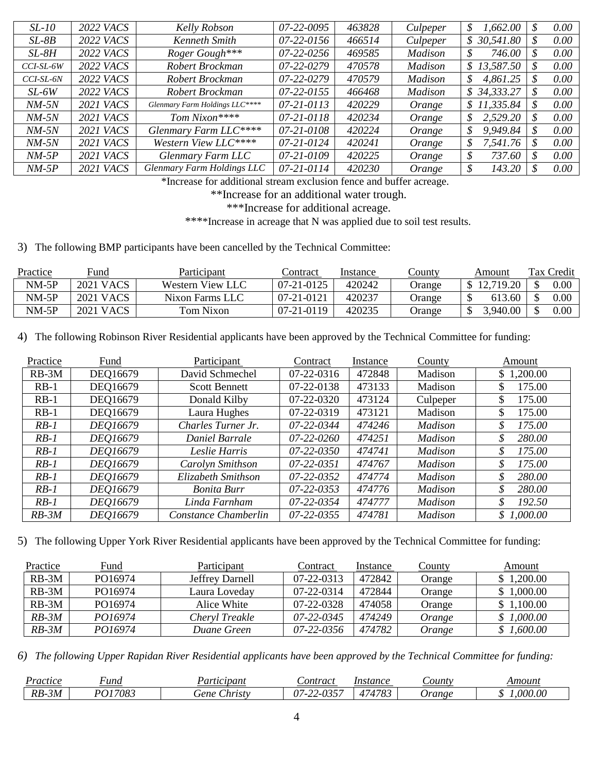| $SL-10$     | <b>2022 VACS</b> | Kelly Robson                   | 07-22-0095       | 463828 | Culpeper       | 1,662.00<br>S              | 0.00 |
|-------------|------------------|--------------------------------|------------------|--------|----------------|----------------------------|------|
| $SL-8B$     | <b>2022 VACS</b> | Kenneth Smith                  | $07-22-0156$     | 466514 | Culpeper       | 30,541.80<br>$\mathcal{S}$ | 0.00 |
| $SL-8H$     | <b>2022 VACS</b> | Roger Gough***                 | $07 - 22 - 0256$ | 469585 | <b>Madison</b> | 746.00<br>\$               | 0.00 |
| CCI-SL-6W   | <b>2022 VACS</b> | Robert Brockman                | 07-22-0279       | 470578 | <b>Madison</b> | \$13,587.50                | 0.00 |
| $CCI-SL-6N$ | 2022 VACS        | Robert Brockman                | 07-22-0279       | 470579 | <b>Madison</b> | 4,861.25<br>\$             | 0.00 |
| $SL-6W$     | 2022 VACS        | Robert Brockman                | $07 - 22 - 0155$ | 466468 | <b>Madison</b> | \$34,333.27                | 0.00 |
| $NM-5N$     | <b>2021 VACS</b> | Glenmary Farm Holdings LLC**** | 07-21-0113       | 420229 | Orange         | \$11,335.84                | 0.00 |
| $NM-5N$     | <b>2021 VACS</b> | Tom Nixon****                  | 07-21-0118       | 420234 | Orange         | 2,529.20<br>\$             | 0.00 |
| $NM-5N$     | <b>2021 VACS</b> | Glenmary Farm LLC****          | 07-21-0108       | 420224 | Orange         | 9,949.84<br>\$             | 0.00 |
| $NM-5N$     | <b>2021 VACS</b> | Western View LLC*****          | 07-21-0124       | 420241 | Orange         | 7,541.76<br>\$             | 0.00 |
| $NM-5P$     | <b>2021 VACS</b> | Glenmary Farm LLC              | 07-21-0109       | 420225 | Orange         | 737.60<br>\$               | 0.00 |
| $NM-5P$     | <b>2021 VACS</b> | Glenmary Farm Holdings LLC     | $07 - 21 - 0114$ | 420230 | Orange         | \$<br>143.20               | 0.00 |

\*Increase for additional stream exclusion fence and buffer acreage.

\*\*Increase for an additional water trough.

\*\*\*Increase for additional acreage.

\*\*\*\*Increase in acreage that N was applied due to soil test results.

3) The following BMP participants have been cancelled by the Technical Committee:

| Practice | Fund             | Participant      | .`ontract  | Instance | <u>`ounty</u> | Amount    | Tax Credit |
|----------|------------------|------------------|------------|----------|---------------|-----------|------------|
| $NM-5P$  | <b>2021 VACS</b> | Western View LLC | 07-21-0125 | 420242   | Jrange        | 12.719.20 | $0.00\,$   |
| $NM-5P$  | <b>2021 VACS</b> | Nixon Farms LLC  | 07-21-0121 | 420237   | Jrange        | 613.60    | $0.00\,$   |
| $NM-5P$  | 2021 VACS        | Tom Nixon        | 07-21-0119 | 420235   | Jrange        | 3,940.00  | $0.00\,$   |

4) The following Robinson River Residential applicants have been approved by the Technical Committee for funding:

| Practice | Fund     | Participant          | Contract         | Instance | County         | Amount     |
|----------|----------|----------------------|------------------|----------|----------------|------------|
| $RB-3M$  | DEQ16679 | David Schmechel      | 07-22-0316       | 472848   | Madison        | \$1,200.00 |
| $RB-1$   | DEQ16679 | <b>Scott Bennett</b> | 07-22-0138       | 473133   | Madison        | 175.00     |
| $RB-1$   | DEQ16679 | Donald Kilby         | 07-22-0320       | 473124   | Culpeper       | 175.00     |
| $RB-1$   | DEQ16679 | Laura Hughes         | 07-22-0319       | 473121   | Madison        | 175.00     |
| $RB-1$   | DE016679 | Charles Turner Jr.   | 07-22-0344       | 474246   | <b>Madison</b> | 175.00     |
| $RB-1$   | DE016679 | Daniel Barrale       | 07-22-0260       | 474251   | Madison        | 280.00     |
| $RB-1$   | DE016679 | Leslie Harris        | $07 - 22 - 0350$ | 474741   | Madison        | 175.00     |
| $RB-1$   | DE016679 | Carolyn Smithson     | 07-22-0351       | 474767   | Madison        | 175.00     |
| $RB-1$   | DE016679 | Elizabeth Smithson   | 07-22-0352       | 474774   | Madison        | 280.00     |
| $RB-1$   | DE016679 | <b>Bonita Burr</b>   | 07-22-0353       | 474776   | Madison        | 280.00     |
| $RB-1$   | DE016679 | Linda Farnham        | 07-22-0354       | 474777   | Madison        | 192.50     |
| $RB-3M$  | DE016679 | Constance Chamberlin | 07-22-0355       | 474781   | <b>Madison</b> | \$1,000.00 |

5) The following Upper York River Residential applicants have been approved by the Technical Committee for funding:

| Practice | Fund    | Participant     | Contract         | Instance | <b>County</b> | Amount     |
|----------|---------|-----------------|------------------|----------|---------------|------------|
| $RB-3M$  | PO16974 | Jeffrey Darnell | 07-22-0313       | 472842   | Orange        | \$1,200.00 |
| $RB-3M$  | PO16974 | Laura Loveday   | $07 - 22 - 0314$ | 472844   | Orange        | 1,000.00   |
| $RB-3M$  | PO16974 | Alice White     | 07-22-0328       | 474058   | Orange        | \$1,100.00 |
| $RB-3M$  | PO16974 | Cheryl Treakle  | $07 - 22 - 0345$ | 474249   | Orange        | \$1,000.00 |
| $RB-3M$  | PO16974 | Duane Green     | 07-22-0356       | 474782   | Orange        | 1,600.00   |

*6) The following Upper Rapidan River Residential applicants have been approved by the Technical Committee for funding:* 

| Practice    | und•        | 'artıcıpant                            | Sontract                                                        | Instance                                | $_{\sim}$ ount $^{\sim}$ | Amount      |
|-------------|-------------|----------------------------------------|-----------------------------------------------------------------|-----------------------------------------|--------------------------|-------------|
| $RB-$<br>3M | 17083<br>DΛ | $\sim$<br>$\mathcal{L}$ hristy<br>sene | $\bigcap$<br>∩ −<br>$\overline{\phantom{0}}$<br>--<br>--<br>ັບມ | 171783<br>$\mathbf{O}_{\boldsymbol{S}}$ | <i><b>Jrange</b></i>     | 000.00<br>m |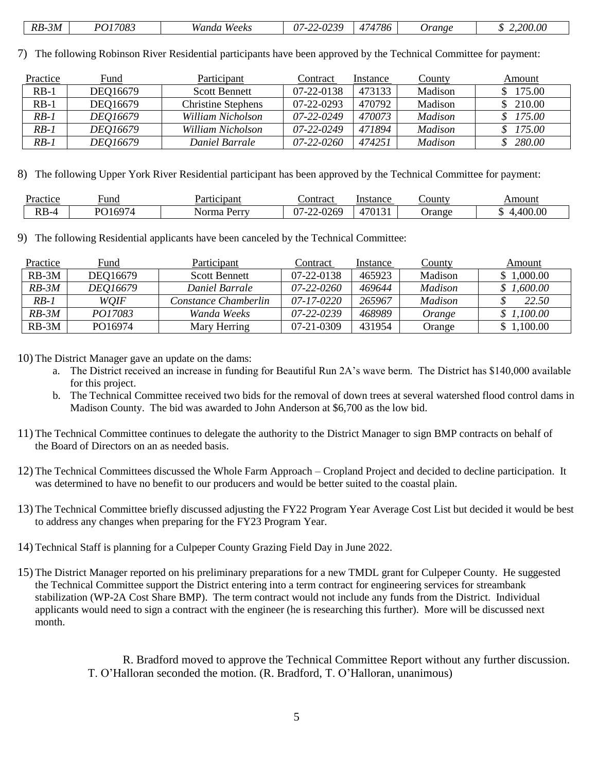| $\overline{\phantom{0}}$<br>$  -$<br>$RB-$<br>7083<br>$\cdot$ 3M<br>$M \alpha n$<br>.<br>Weeks<br>Vandı. | റാറ<br>$\sim$<br>ر ـ ر ۱ | 1786<br>$\overline{\phantom{0}}$<br>. | <i><b>Jrange</b></i> | 2.200.00 |
|----------------------------------------------------------------------------------------------------------|--------------------------|---------------------------------------|----------------------|----------|
|----------------------------------------------------------------------------------------------------------|--------------------------|---------------------------------------|----------------------|----------|

7) The following Robinson River Residential participants have been approved by the Technical Committee for payment:

| Practice | Fund     | Participant               | Contract   | Instance | County         | Amount   |
|----------|----------|---------------------------|------------|----------|----------------|----------|
| $RB-1$   | DEQ16679 | <b>Scott Bennett</b>      | 07-22-0138 | 473133   | Madison        | \$175.00 |
| $RB-1$   | DEQ16679 | <b>Christine Stephens</b> | 07-22-0293 | 470792   | Madison        | \$210.00 |
| $RB-1$   | DE016679 | William Nicholson         | 07-22-0249 | 470073   | <i>Madison</i> | \$175.00 |
| $RB-1$   | DE016679 | William Nicholson         | 07-22-0249 | 471894   | Madison        | \$175.00 |
| $RB-1$   | DEQ16679 | Daniel Barrale            | 07-22-0260 | 474251   | Madison        | 280.00   |

8) The following Upper York River Residential participant has been approved by the Technical Committee for payment:

| Practice | ∺una                   | articipant<br>$\overline{\phantom{a}}$ | ∟ontract                                                               | Instance       | County | Amoun       |
|----------|------------------------|----------------------------------------|------------------------------------------------------------------------|----------------|--------|-------------|
| $RB-4$   | $\sim$<br>DO 1<br>.164 | Norma<br>$P_{\rm \Delta} r r$          | $\sim$<br>$\sim$ $\sim$<br>∼<br>$\sim$<br>אי<br>$\sqrt{2}$<br>◡▱◡<br>∸ | 70121<br>1.1.1 | Orange | .00.00<br>. |

9) The following Residential applicants have been canceled by the Technical Committee:

| Practice | Fund           | Participant          | Contract         | Instance | <u>County</u>  | Amount       |
|----------|----------------|----------------------|------------------|----------|----------------|--------------|
| $RB-3M$  | DEQ16679       | <b>Scott Bennett</b> | $07-22-0138$     | 465923   | Madison        | \$1,000.00   |
| $RB-3M$  | DE016679       | Daniel Barrale       | 07-22-0260       | 469644   | <i>Madison</i> | \$1,600.00   |
| $RB-1$   | WOIF           | Constance Chamberlin | $07 - 17 - 0220$ | 265967   | <i>Madison</i> | <i>22.50</i> |
| $RB-3M$  | <i>PO17083</i> | Wanda Weeks          | 07-22-0239       | 468989   | Orange         | \$1,100.00   |
| $RB-3M$  | PO16974        | Mary Herring         | 07-21-0309       | 431954   | Orange         | \$1,100.00   |

10) The District Manager gave an update on the dams:

- a. The District received an increase in funding for Beautiful Run 2A's wave berm. The District has \$140,000 available for this project.
- b. The Technical Committee received two bids for the removal of down trees at several watershed flood control dams in Madison County. The bid was awarded to John Anderson at \$6,700 as the low bid.
- 11) The Technical Committee continues to delegate the authority to the District Manager to sign BMP contracts on behalf of the Board of Directors on an as needed basis.
- 12) The Technical Committees discussed the Whole Farm Approach Cropland Project and decided to decline participation. It was determined to have no benefit to our producers and would be better suited to the coastal plain.
- 13) The Technical Committee briefly discussed adjusting the FY22 Program Year Average Cost List but decided it would be best to address any changes when preparing for the FY23 Program Year.
- 14) Technical Staff is planning for a Culpeper County Grazing Field Day in June 2022.
- 15) The District Manager reported on his preliminary preparations for a new TMDL grant for Culpeper County. He suggested the Technical Committee support the District entering into a term contract for engineering services for streambank stabilization (WP-2A Cost Share BMP). The term contract would not include any funds from the District. Individual applicants would need to sign a contract with the engineer (he is researching this further). More will be discussed next month.

R. Bradford moved to approve the Technical Committee Report without any further discussion. T. O'Halloran seconded the motion. (R. Bradford, T. O'Halloran, unanimous)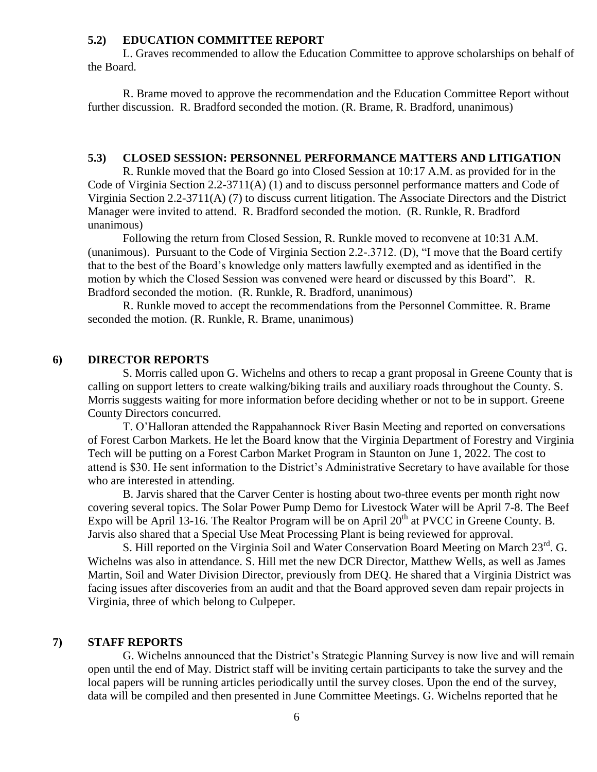#### **5.2) EDUCATION COMMITTEE REPORT**

L. Graves recommended to allow the Education Committee to approve scholarships on behalf of the Board.

R. Brame moved to approve the recommendation and the Education Committee Report without further discussion. R. Bradford seconded the motion. (R. Brame, R. Bradford, unanimous)

#### **5.3) CLOSED SESSION: PERSONNEL PERFORMANCE MATTERS AND LITIGATION**

R. Runkle moved that the Board go into Closed Session at 10:17 A.M. as provided for in the Code of Virginia Section 2.2-3711(A) (1) and to discuss personnel performance matters and Code of Virginia Section 2.2-3711(A) (7) to discuss current litigation. The Associate Directors and the District Manager were invited to attend. R. Bradford seconded the motion. (R. Runkle, R. Bradford unanimous)

Following the return from Closed Session, R. Runkle moved to reconvene at 10:31 A.M. (unanimous). Pursuant to the Code of Virginia Section 2.2-.3712. (D), "I move that the Board certify that to the best of the Board's knowledge only matters lawfully exempted and as identified in the motion by which the Closed Session was convened were heard or discussed by this Board". R. Bradford seconded the motion. (R. Runkle, R. Bradford, unanimous)

R. Runkle moved to accept the recommendations from the Personnel Committee. R. Brame seconded the motion. (R. Runkle, R. Brame, unanimous)

### **6) DIRECTOR REPORTS**

S. Morris called upon G. Wichelns and others to recap a grant proposal in Greene County that is calling on support letters to create walking/biking trails and auxiliary roads throughout the County. S. Morris suggests waiting for more information before deciding whether or not to be in support. Greene County Directors concurred.

T. O'Halloran attended the Rappahannock River Basin Meeting and reported on conversations of Forest Carbon Markets. He let the Board know that the Virginia Department of Forestry and Virginia Tech will be putting on a Forest Carbon Market Program in Staunton on June 1, 2022. The cost to attend is \$30. He sent information to the District's Administrative Secretary to have available for those who are interested in attending.

B. Jarvis shared that the Carver Center is hosting about two-three events per month right now covering several topics. The Solar Power Pump Demo for Livestock Water will be April 7-8. The Beef Expo will be April 13-16. The Realtor Program will be on April  $20<sup>th</sup>$  at PVCC in Greene County. B. Jarvis also shared that a Special Use Meat Processing Plant is being reviewed for approval.

S. Hill reported on the Virginia Soil and Water Conservation Board Meeting on March 23<sup>rd</sup>. G. Wichelns was also in attendance. S. Hill met the new DCR Director, Matthew Wells, as well as James Martin, Soil and Water Division Director, previously from DEQ. He shared that a Virginia District was facing issues after discoveries from an audit and that the Board approved seven dam repair projects in Virginia, three of which belong to Culpeper.

#### **7) STAFF REPORTS**

G. Wichelns announced that the District's Strategic Planning Survey is now live and will remain open until the end of May. District staff will be inviting certain participants to take the survey and the local papers will be running articles periodically until the survey closes. Upon the end of the survey, data will be compiled and then presented in June Committee Meetings. G. Wichelns reported that he